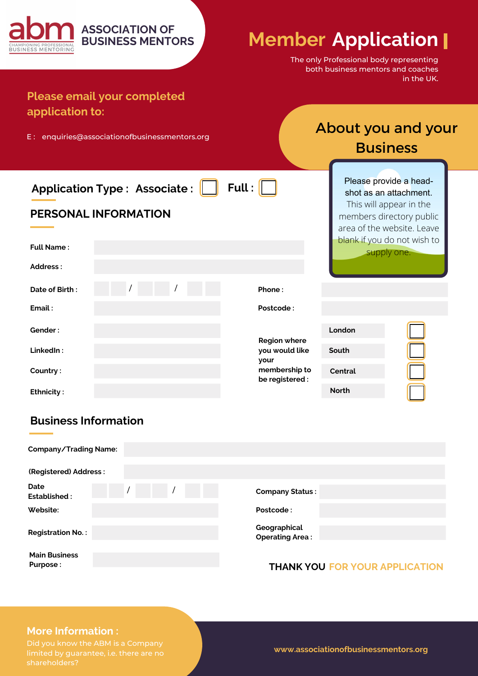| <b>ASSOCIATION OF</b><br><b>BUSINESS MENTORS</b><br>BUSINESS MENTORING<br><b>Please email your completed</b> | <b>Member Application  </b>      | The only Professional body representing<br>both business mentors and coaches | in the UK.                                                                                                                                                                          |  |
|--------------------------------------------------------------------------------------------------------------|----------------------------------|------------------------------------------------------------------------------|-------------------------------------------------------------------------------------------------------------------------------------------------------------------------------------|--|
| application to:<br>E: enquiries@associationofbusinessmentors.org                                             |                                  |                                                                              | About you and your<br><b>Business</b>                                                                                                                                               |  |
| <b>Application Type: Associate:</b><br><b>PERSONAL INFORMATION</b><br><b>Full Name:</b><br>Address:          | Full:                            |                                                                              | Please provide a head-<br>shot as an attachment.<br>This will appear in the<br>members directory public<br>area of the website. Leave<br>blank if you do not wish to<br>supply one. |  |
| Date of Birth:                                                                                               | Phone:                           |                                                                              |                                                                                                                                                                                     |  |
| Email:                                                                                                       | Postcode:                        |                                                                              |                                                                                                                                                                                     |  |
| Gender:                                                                                                      | <b>Region where</b>              | London                                                                       |                                                                                                                                                                                     |  |
| LinkedIn:                                                                                                    | you would like<br>your           | South                                                                        |                                                                                                                                                                                     |  |
| Country:                                                                                                     | membership to<br>be registered : | <b>Central</b>                                                               |                                                                                                                                                                                     |  |
| <b>Ethnicity:</b>                                                                                            |                                  | <b>North</b>                                                                 |                                                                                                                                                                                     |  |

# **Business Information**

| <b>Company/Trading Name:</b>     |                                        |
|----------------------------------|----------------------------------------|
| (Registered) Address:            |                                        |
|                                  |                                        |
| Date<br>Established:             | <b>Company Status:</b>                 |
| Website:                         | Postcode:                              |
| <b>Registration No.:</b>         | Geographical<br><b>Operating Area:</b> |
| <b>Main Business</b><br>Purpose: | <b>THANK YOU FOR YOUR APPLICATION</b>  |

#### **More Information :**

Did you know the ABM is a Company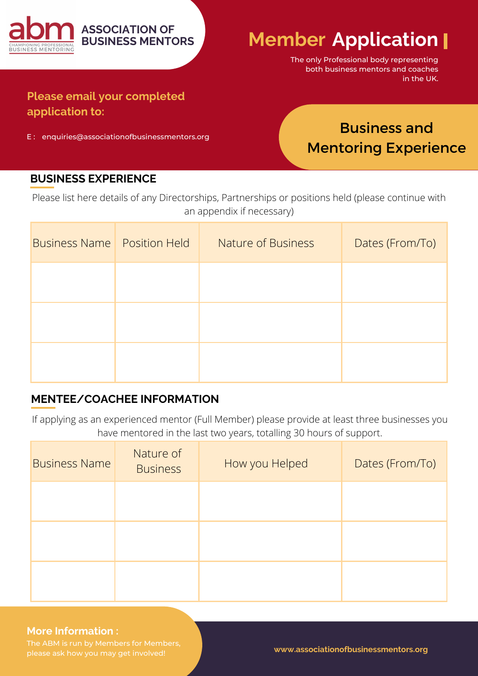

The only Professional body representing both business mentors and coaches in the UK.

# **Please email your completed application to:**

E : enquiries@associationofbusinessmentors.org

# Business and Mentoring Experience

### **BUSINESS EXPERIENCE**

Please list here details of any Directorships, Partnerships or positions held (please continue with an appendix if necessary)

| <b>Business Name</b> Position Held | Nature of Business | Dates (From/To) |
|------------------------------------|--------------------|-----------------|
|                                    |                    |                 |
|                                    |                    |                 |
|                                    |                    |                 |

## **MENTEE/COACHEE INFORMATION**

If applying as an experienced mentor (Full Member) please provide at least three businesses you have mentored in the last two years, totalling 30 hours of support.

| <b>Business Name</b> | Nature of<br><b>Business</b> | How you Helped | Dates (From/To) |
|----------------------|------------------------------|----------------|-----------------|
|                      |                              |                |                 |
|                      |                              |                |                 |
|                      |                              |                |                 |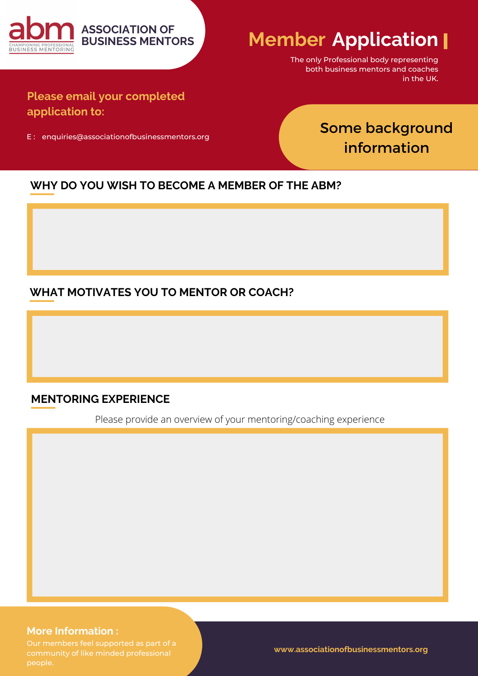

The only Professional body representing both business mentors and coaches in the UK.

**Please email your completed application to:**

E : enquiries@associationofbusinessmentors.org

# Some background information

#### **WHY DO YOU WISH TO BECOME A MEMBER OF THE ABM?**

### **WHAT MOTIVATES YOU TO MENTOR OR COACH?**

#### **MENTORING EXPERIENCE**

Please provide an overview of your mentoring/coaching experience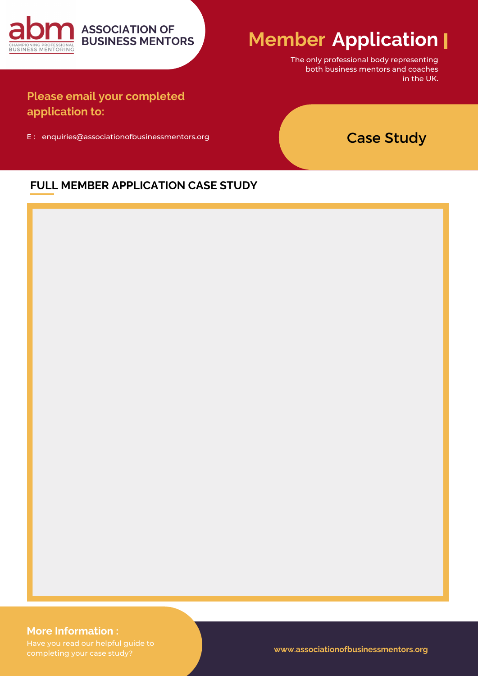

The only professional body representing both business mentors and coaches in the UK.

**Please email your completed application to:**

E : enquiries@associationofbusinessmentors.org

**ASSOCIATION OF BUSINESS MENTORS**

# Case Study

#### **FULL MEMBER APPLICATION CASE STUDY**



#### **More Information :**

completing your case study?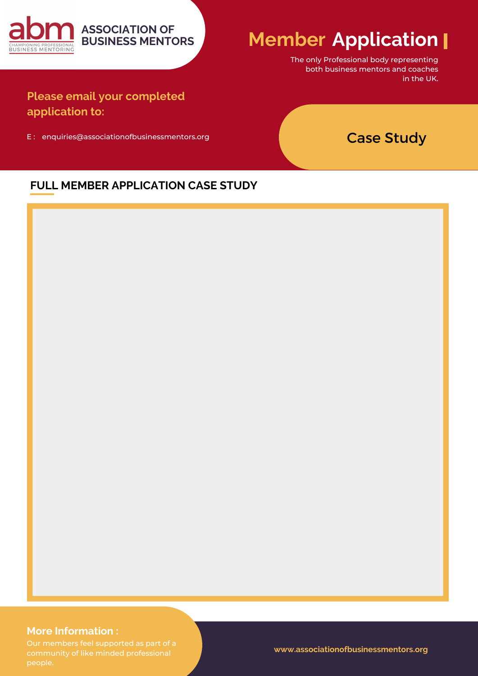

The only Professional body representing both business mentors and coaches in the UK.

**Please email your completed application to:**

E : enquiries@associationofbusinessmentors.org

**ASSOCIATION OF BUSINESS MENTORS**

# Case Study

#### **FULL MEMBER APPLICATION CASE STUDY**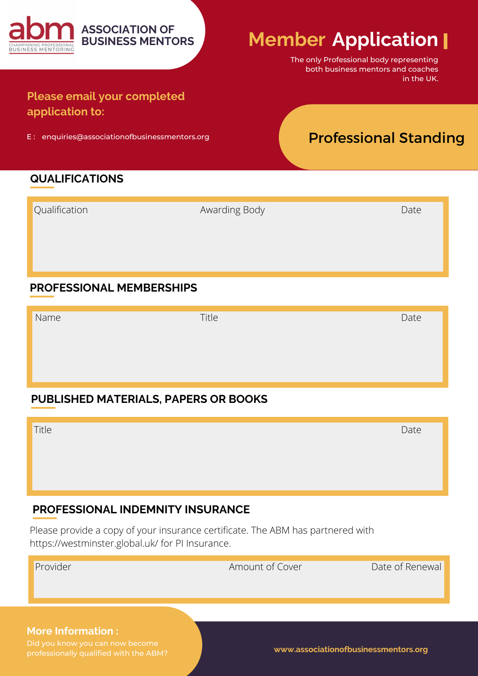

The only Professional body representing both business mentors and coaches in the UK.

# **Please email your completed application to:**

E : enquiries@associationofbusinessmentors.org

**BUSINESS MENTORS**

# Professional Standing

## **QUALIFICATIONS**

| Qualification | Awarding Body | Date |
|---------------|---------------|------|
|               |               |      |
|               |               |      |
|               |               |      |

## **PROFESSIONAL MEMBERSHIPS**

Name Date Date is a state of the Title Community of the Date of the Date Date of the Date Date of the Date of the Date of the Date of the Date of the Date of the Date of the Date of the Date of the Date of the Date of the

# **PUBLISHED MATERIALS, PAPERS OR BOOKS**

| Title | Date |
|-------|------|
|       |      |
|       |      |
|       |      |
|       |      |

## **PROFESSIONAL INDEMNITY INSURANCE**

Please provide a copy of your insurance certificate. The ABM has partnered with https://westminster.global.uk/ for PI Insurance.

| Provider                                                                  | Amount of Cover | Date of Renewal                      |
|---------------------------------------------------------------------------|-----------------|--------------------------------------|
|                                                                           |                 |                                      |
|                                                                           |                 |                                      |
| <b>More Information:</b>                                                  |                 |                                      |
| Did you know you can now become<br>professionally qualified with the ARM2 |                 | www.associationofbusinessmentors.org |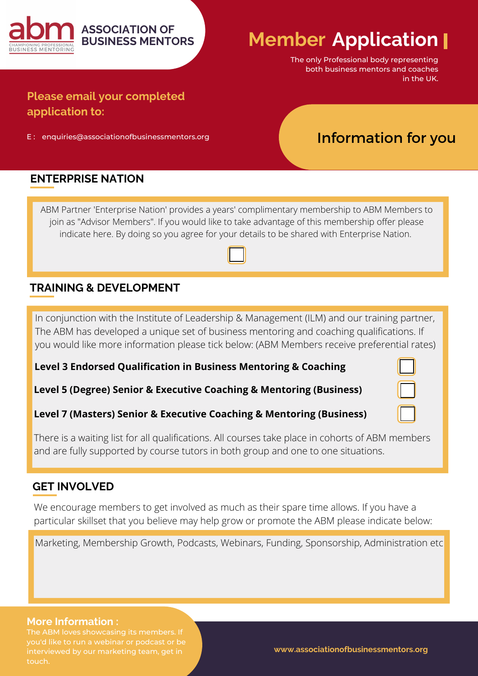

The only Professional body representing both business mentors and coaches in the UK.

# **Please email your completed application to:**

E : enquiries@associationofbusinessmentors.org

**ASSOCIATION OF BUSINESS MENTORS**

Information for you

### **ENTERPRISE NATION**

ABM Partner 'Enterprise Nation' provides a years' complimentary membership to ABM Members to join as "Advisor Members". If you would like to take advantage of this membership offer please indicate here. By doing so you agree for your details to be shared with Enterprise Nation.

### **TRAINING & DEVELOPMENT**

In conjunction with the Institute of Leadership & Management (ILM) and our training partner, The ABM has developed a unique set of business mentoring and coaching qualifications. If you would like more information please tick below: (ABM Members receive preferential rates)

**Level 3 Endorsed Qualification in Business Mentoring & Coaching**

**Level 5 (Degree) Senior & Executive Coaching & Mentoring (Business)**

#### **Level 7 (Masters) Senior & Executive Coaching & Mentoring (Business)**

There is a waiting list for all qualifications. All courses take place in cohorts of ABM members and are fully supported by course tutors in both group and one to one situations.

#### **GET INVOLVED**

We encourage members to get involved as much as their spare time allows. If you have a particular skillset that you believe may help grow or promote the ABM please indicate below:

Marketing, Membership Growth, Podcasts, Webinars, Funding, Sponsorship, Administration etc

#### **More Information :**

you'd like to run a webinar or podcast or be interviewed by our marketing team, get in touch.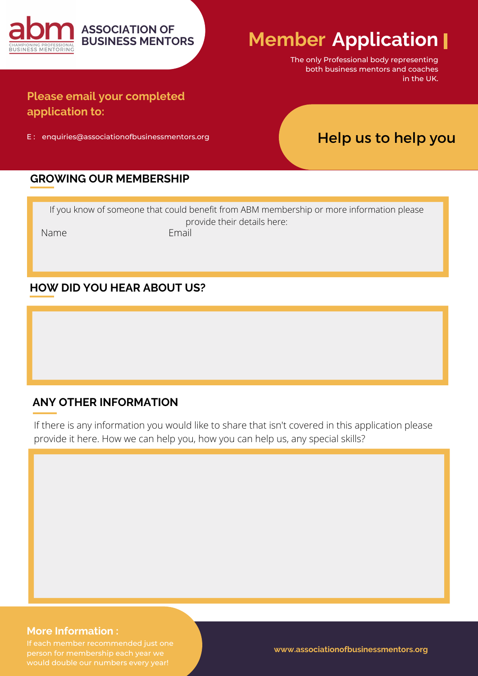

The only Professional body representing both business mentors and coaches in the UK.

# **Please email your completed application to:**

E : enquiries@associationofbusinessmentors.org

**BUSINESS MENTORS**

Help us to help you

#### **GROWING OUR MEMBERSHIP**

If you know of someone that could benefit from ABM membership or more information please provide their details here: Name **Email** 

#### **HOW DID YOU HEAR ABOUT US?**

#### **ANY OTHER INFORMATION**

If there is any information you would like to share that isn't covered in this application please provide it here. How we can help you, how you can help us, any special skills?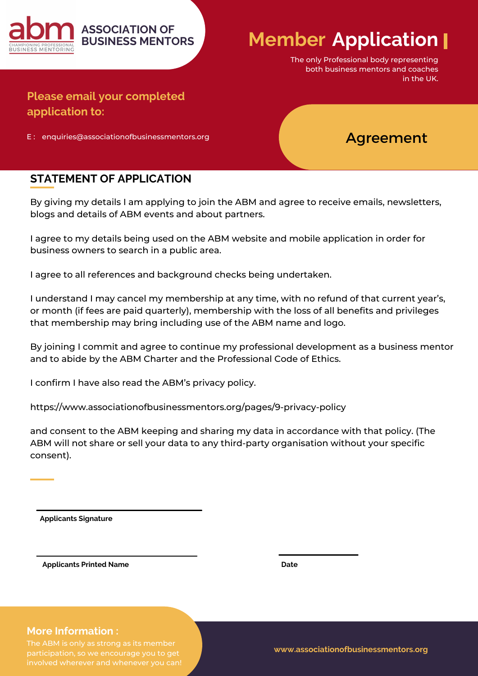

The only Professional body representing both business mentors and coaches in the UK.

# **Please email your completed application to:**

E : enquiries@associationofbusinessmentors.org

# Agreement

### **STATEMENT OF APPLICATION**

By giving my details I am applying to join the ABM and agree to receive emails, newsletters, blogs and details of ABM events and about partners.

I agree to my details being used on the ABM website and mobile application in order for business owners to search in a public area.

I agree to all references and background checks being undertaken.

I understand I may cancel my membership at any time, with no refund of that current year's, or month (if fees are paid quarterly), membership with the loss of all benefits and privileges that membership may bring including use of the ABM name and logo.

By joining I commit and agree to continue my professional development as a business mentor and to abide by the ABM Charter and the Professional Code of Ethics.

I confirm I have also read the ABM's privacy policy.

https://www.associationofbusinessmentors.org/pages/9-privacy-policy

and consent to the ABM keeping and sharing my data in accordance with that policy. (The ABM will not share or sell your data to any third-party organisation without your specific consent).

**Applicants Signature**

**Applicants Printed Name Date Date Date** 

#### **More Information :**

participation, so we encourage you to get

**www.associationofbusinessmentors.org**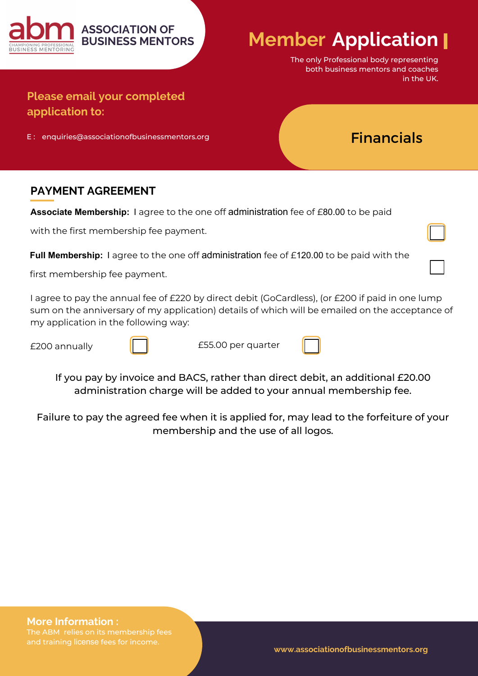

The only Professional body representing both business mentors and coaches in the UK.

Financials

**Please email your completed application to:**

E : enquiries@associationofbusinessmentors.org

## **PAYMENT AGREEMENT**

**Associate Membership:** I agree to the one off administration fee of £80.00 to be paid

with the first membership fee payment.

**Full Membership:** I agree to the one off administration fee of £120.00 to be paid with the

first membership fee payment.

I agree to pay the annual fee of £220 by direct debit (GoCardless), (or £200 if paid in one lump sum on the anniversary of my application) details of which will be emailed on the acceptance of my application in the following way:

£200 annually



£55.00 per quarter

If you pay by invoice and BACS, rather than direct debit, an additional £20.00 administration charge will be added to your annual membership fee.

Failure to pay the agreed fee when it is applied for, may lead to the forfeiture of your membership and the use of all logos.

**More Information :**

and training license fees for income.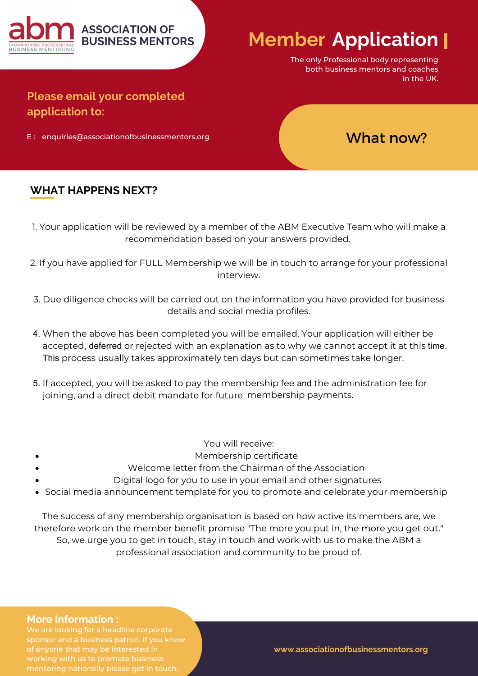

The only Professional body representing both business mentors and coaches in the UK.

# **Please email your completed application to:**

E : enquiries@associationofbusinessmentors.org

# What now?

### **WHAT HAPPENS NEXT?**

- 1. Your application will be reviewed by a member of the ABM Executive Team who will make a recommendation based on your answers provided.
- 2. If you have applied for FULL Membership we will be in touch to arrange for your professional interview.
- 3. Due diligence checks will be carried out on the information you have provided for business details and social media profiles.
- 4. When the above has been completed you will be emailed. Your application will either be accepted, deferred or rejected with an explanation as to why we cannot accept it at this time. This process usually takes approximately ten days but can sometimes take longer.
- 5. If accepted, you will be asked to pay the membership fee and the administration fee for joining, and a direct debit mandate for future membership payments.
	- You will receive:
	- Membership certificate
- Welcome letter from the Chairman of the Association
	- Digital logo for you to use in your email and other signatures
- Social media announcement template for you to promote and celebrate your membership

The success of any membership organisation is based on how active its members are, we therefore work on the member benefit promise "The more you put in, the more you get out." So, we urge you to get in touch, stay in touch and work with us to make the ABM a professional association and community to be proud of.

#### **More Information :**

We are looking for a headline corporate